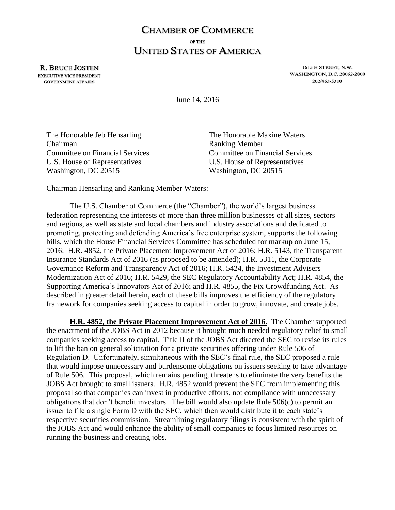## **CHAMBER OF COMMERCE** OF THE **UNITED STATES OF AMERICA**

**R. BRUCE JOSTEN EXECUTIVE VICE PRESIDENT GOVERNMENT AFFAIRS** 

1615 H STREET, N.W. **WASHINGTON, D.C. 20062-2000** 202/463-5310

June 14, 2016

| The Honorable Jeb Hensarling           | The Honorable Maxine Waters            |
|----------------------------------------|----------------------------------------|
| Chairman                               | <b>Ranking Member</b>                  |
| <b>Committee on Financial Services</b> | <b>Committee on Financial Services</b> |
| U.S. House of Representatives          | U.S. House of Representatives          |
| Washington, DC 20515                   | Washington, DC 20515                   |

Chairman Hensarling and Ranking Member Waters:

The U.S. Chamber of Commerce (the "Chamber"), the world's largest business federation representing the interests of more than three million businesses of all sizes, sectors and regions, as well as state and local chambers and industry associations and dedicated to promoting, protecting and defending America's free enterprise system, supports the following bills, which the House Financial Services Committee has scheduled for markup on June 15, 2016: H.R. 4852, the Private Placement Improvement Act of 2016; H.R. 5143, the Transparent Insurance Standards Act of 2016 (as proposed to be amended); H.R. 5311, the Corporate Governance Reform and Transparency Act of 2016; H.R. 5424, the Investment Advisers Modernization Act of 2016; H.R. 5429, the SEC Regulatory Accountability Act; H.R. 4854, the Supporting America's Innovators Act of 2016; and H.R. 4855, the Fix Crowdfunding Act. As described in greater detail herein, each of these bills improves the efficiency of the regulatory framework for companies seeking access to capital in order to grow, innovate, and create jobs.

**H.R. 4852, the Private Placement Improvement Act of 2016.** The Chamber supported the enactment of the JOBS Act in 2012 because it brought much needed regulatory relief to small companies seeking access to capital. Title II of the JOBS Act directed the SEC to revise its rules to lift the ban on general solicitation for a private securities offering under Rule 506 of Regulation D. Unfortunately, simultaneous with the SEC's final rule, the SEC proposed a rule that would impose unnecessary and burdensome obligations on issuers seeking to take advantage of Rule 506. This proposal, which remains pending, threatens to eliminate the very benefits the JOBS Act brought to small issuers. H.R. 4852 would prevent the SEC from implementing this proposal so that companies can invest in productive efforts, not compliance with unnecessary obligations that don't benefit investors. The bill would also update Rule 506(c) to permit an issuer to file a single Form D with the SEC, which then would distribute it to each state's respective securities commission. Streamlining regulatory filings is consistent with the spirit of the JOBS Act and would enhance the ability of small companies to focus limited resources on running the business and creating jobs.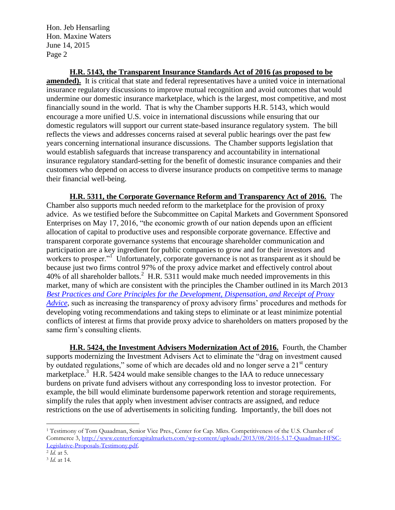Hon. Jeb Hensarling Hon. Maxine Waters June 14, 2015 Page 2

**H.R. 5143, the Transparent Insurance Standards Act of 2016 (as proposed to be amended).** It is critical that state and federal representatives have a united voice in international insurance regulatory discussions to improve mutual recognition and avoid outcomes that would undermine our domestic insurance marketplace, which is the largest, most competitive, and most financially sound in the world. That is why the Chamber supports H.R. 5143, which would encourage a more unified U.S. voice in international discussions while ensuring that our domestic regulators will support our current state-based insurance regulatory system. The bill reflects the views and addresses concerns raised at several public hearings over the past few years concerning international insurance discussions. The Chamber supports legislation that would establish safeguards that increase transparency and accountability in international insurance regulatory standard-setting for the benefit of domestic insurance companies and their customers who depend on access to diverse insurance products on competitive terms to manage their financial well-being.

**H.R. 5311, the Corporate Governance Reform and Transparency Act of 2016.** The Chamber also supports much needed reform to the marketplace for the provision of proxy advice. As we testified before the Subcommittee on Capital Markets and Government Sponsored Enterprises on May 17, 2016, "the economic growth of our nation depends upon an efficient allocation of capital to productive uses and responsible corporate governance. Effective and transparent corporate governance systems that encourage shareholder communication and participation are a key ingredient for public companies to grow and for their investors and workers to prosper."<sup>1</sup> Unfortunately, corporate governance is not as transparent as it should be because just two firms control 97% of the proxy advice market and effectively control about 40% of all shareholder ballots.<sup>2</sup> H.R. 5311 would make much needed improvements in this market, many of which are consistent with the principles the Chamber outlined in its March 2013 *[Best Practices and Core Principles for the Development, Dispensation, and Receipt of Proxy](http://www.centerforcapitalmarkets.com/wp-content/uploads/2013/08/Best-Practices-and-Core-Principles-for-Proxy-Advisors.pdf)  [Advice](http://www.centerforcapitalmarkets.com/wp-content/uploads/2013/08/Best-Practices-and-Core-Principles-for-Proxy-Advisors.pdf)*, such as increasing the transparency of proxy advisory firms' procedures and methods for developing voting recommendations and taking steps to eliminate or at least minimize potential conflicts of interest at firms that provide proxy advice to shareholders on matters proposed by the same firm's consulting clients.

**H.R. 5424, the Investment Advisers Modernization Act of 2016.** Fourth, the Chamber supports modernizing the Investment Advisers Act to eliminate the "drag on investment caused by outdated regulations," some of which are decades old and no longer serve a  $21<sup>st</sup>$  century marketplace.<sup>3</sup> H.R. 5424 would make sensible changes to the IAA to reduce unnecessary burdens on private fund advisers without any corresponding loss to investor protection. For example, the bill would eliminate burdensome paperwork retention and storage requirements, simplify the rules that apply when investment adviser contracts are assigned, and reduce restrictions on the use of advertisements in soliciting funding. Importantly, the bill does not

l

<sup>1</sup> Testimony of Tom Quaadman, Senior Vice Pres., Center for Cap. Mkts. Competitiveness of the U.S. Chamber of Commerce 3[, http://www.centerforcapitalmarkets.com/wp-content/uploads/2013/08/2016-5.17-Quaadman-HFSC-](http://www.centerforcapitalmarkets.com/wp-content/uploads/2013/08/2016-5.17-Quaadman-HFSC-Legislative-Proposals-Testimony.pdf)[Legislative-Proposals-Testimony.pdf.](http://www.centerforcapitalmarkets.com/wp-content/uploads/2013/08/2016-5.17-Quaadman-HFSC-Legislative-Proposals-Testimony.pdf) 

<sup>2</sup> *Id.* at 5.

<sup>3</sup> *Id.* at 14.